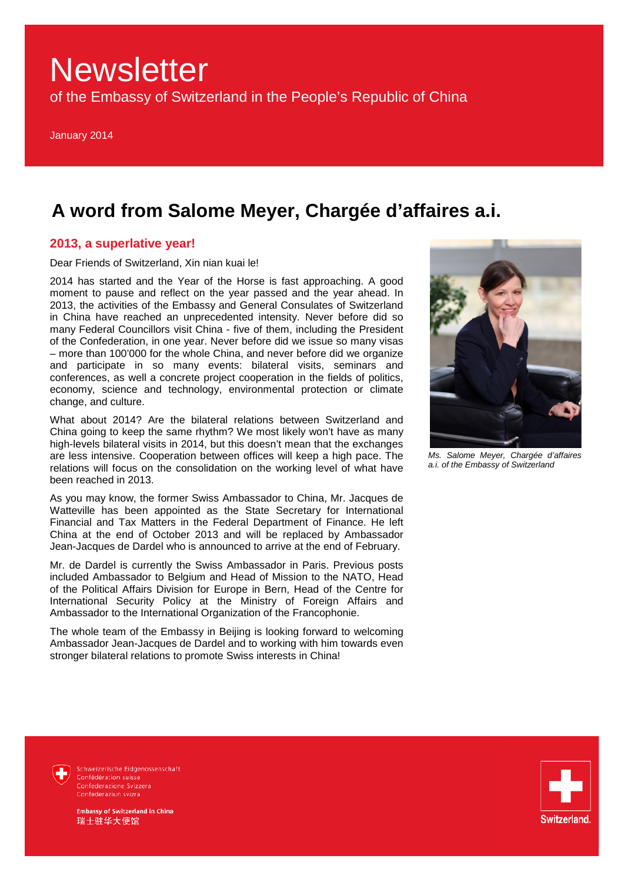of the Embassy of Switzerland in the People's Republic of China

January 2014

### **A word from Salome Meyer, Chargée d'affaires a.i.**

### **2013, a superlative year!**

Dear Friends of Switzerland, Xin nian kuai le!

2014 has started and the Year of the Horse is fast approaching. A good moment to pause and reflect on the year passed and the year ahead. In 2013, the activities of the Embassy and General Consulates of Switzerland in China have reached an unprecedented intensity. Never before did so many Federal Councillors visit China - five of them, including the President of the Confederation, in one year. Never before did we issue so many visas – more than 100'000 for the whole China, and never before did we organize and participate in so many events: bilateral visits, seminars and conferences, as well a concrete project cooperation in the fields of politics, economy, science and technology, environmental protection or climate change, and culture.

What about 2014? Are the bilateral relations between Switzerland and China going to keep the same rhythm? We most likely won't have as many high-levels bilateral visits in 2014, but this doesn't mean that the exchanges are less intensive. Cooperation between offices will keep a high pace. The relations will focus on the consolidation on the working level of what have been reached in 2013.

As you may know, the former Swiss Ambassador to China, Mr. Jacques de Watteville has been appointed as the State Secretary for International Financial and Tax Matters in the Federal Department of Finance. He left China at the end of October 2013 and will be replaced by Ambassador Jean-Jacques de Dardel who is announced to arrive at the end of February.

Mr. de Dardel is currently the Swiss Ambassador in Paris. Previous posts included Ambassador to Belgium and Head of Mission to the NATO, Head of the Political Affairs Division for Europe in Bern, Head of the Centre for International Security Policy at the Ministry of Foreign Affairs and Ambassador to the International Organization of the Francophonie.

The whole team of the Embassy in Beijing is looking forward to welcoming Ambassador Jean-Jacques de Dardel and to working with him towards even stronger bilateral relations to promote Swiss interests in China!



*Ms. Salome Meyer, Chargée d'affaires a.i. of the Embassy of Switzerland*



Schweizerische Eidgenossenschaft Confédération suisse Confederazione Svizzera Confederaziun svizra

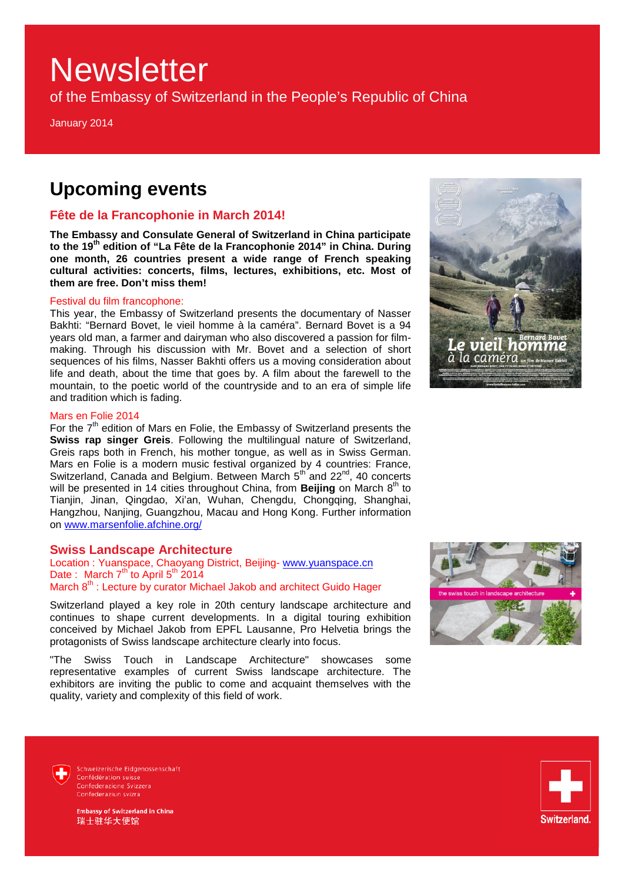of the Embassy of Switzerland in the People's Republic of China

January 2014

### **Upcoming events**

### **Fête de la Francophonie in March 2014!**

**The Embassy and Consulate General of Switzerland in China participate to the 19th edition of "La Fête de la Francophonie 2014" in China. During one month, 26 countries present a wide range of French speaking cultural activities: concerts, films, lectures, exhibitions, etc. Most of them are free. Don't miss them!** 

#### Festival du film francophone:

This year, the Embassy of Switzerland presents the documentary of Nasser Bakhti: "Bernard Bovet, le vieil homme à la caméra". Bernard Bovet is a 94 years old man, a farmer and dairyman who also discovered a passion for filmmaking. Through his discussion with Mr. Bovet and a selection of short sequences of his films, Nasser Bakhti offers us a moving consideration about life and death, about the time that goes by. A film about the farewell to the mountain, to the poetic world of the countryside and to an era of simple life and tradition which is fading.



#### Mars en Folie 2014

For the 7<sup>th</sup> edition of Mars en Folie, the Embassy of Switzerland presents the **Swiss rap singer Greis**. Following the multilingual nature of Switzerland, Greis raps both in French, his mother tongue, as well as in Swiss German. Mars en Folie is a modern music festival organized by 4 countries: France, Switzerland, Canada and Belgium. Between March  $5<sup>th</sup>$  and  $22<sup>nd</sup>$ , 40 concerts will be presented in 14 cities throughout China, from **Beijing** on March 8<sup>th</sup> to Tianjin, Jinan, Qingdao, Xi'an, Wuhan, Chengdu, Chongqing, Shanghai, Hangzhou, Nanjing, Guangzhou, Macau and Hong Kong. Further information on [www.marsenfolie.afchine.org/](http://www.marsenfolie.afchine.org/)

#### **Swiss Landscape Architecture**

Location : Yuanspace, Chaoyang District, Beijing- [www.yuanspace.cn](http://www.yuanspace.cn/) Date : March  $7<sup>th</sup>$  to April  $5<sup>th</sup>$  2014 March 8<sup>th</sup> : Lecture by curator Michael Jakob and architect Guido Hager

Switzerland played a key role in 20th century landscape architecture and continues to shape current developments. In a digital touring exhibition conceived by Michael Jakob from EPFL Lausanne, Pro Helvetia brings the protagonists of Swiss landscape architecture clearly into focus.

"The Swiss Touch in Landscape Architecture" showcases some representative examples of current Swiss landscape architecture. The exhibitors are inviting the public to come and acquaint themselves with the quality, variety and complexity of this field of work.





Schweizerische Eidgenossenschaft Confédération suisse Confederazione Svizzera Confederaziun svizra

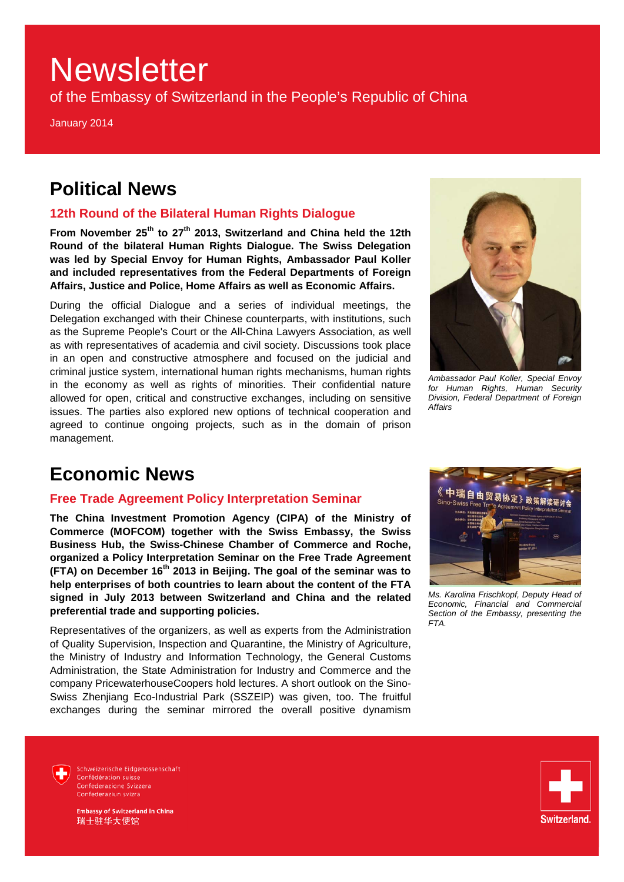of the Embassy of Switzerland in the People's Republic of China

January 2014

### **Political News**

### **12th Round of the Bilateral Human Rights Dialogue**

From November 25<sup>th</sup> to 27<sup>th</sup> 2013, Switzerland and China held the 12th **Round of the bilateral Human Rights Dialogue. The Swiss Delegation was led by Special Envoy for Human Rights, Ambassador Paul Koller and included representatives from the Federal Departments of Foreign Affairs, Justice and Police, Home Affairs as well as Economic Affairs.** 

During the official Dialogue and a series of individual meetings, the Delegation exchanged with their Chinese counterparts, with institutions, such as the Supreme People's Court or the All-China Lawyers Association, as well as with representatives of academia and civil society. Discussions took place in an open and constructive atmosphere and focused on the judicial and criminal justice system, international human rights mechanisms, human rights in the economy as well as rights of minorities. Their confidential nature allowed for open, critical and constructive exchanges, including on sensitive issues. The parties also explored new options of technical cooperation and agreed to continue ongoing projects, such as in the domain of prison management.



*Ambassador Paul Koller, Special Envoy for Human Rights, Human Security Division, Federal Department of Foreign Affairs*

### **Economic News**

### **Free Trade Agreement Policy Interpretation Seminar**

**The China Investment Promotion Agency (CIPA) of the Ministry of Commerce (MOFCOM) together with the Swiss Embassy, the Swiss Business Hub, the Swiss-Chinese Chamber of Commerce and Roche, organized a Policy Interpretation Seminar on the Free Trade Agreement (FTA) on December 16th 2013 in Beijing. The goal of the seminar was to help enterprises of both countries to learn about the content of the FTA signed in July 2013 between Switzerland and China and the related preferential trade and supporting policies.**

Representatives of the organizers, as well as experts from the Administration of Quality Supervision, Inspection and Quarantine, the Ministry of Agriculture, the Ministry of Industry and Information Technology, the General Customs Administration, the State Administration for Industry and Commerce and the company PricewaterhouseCoopers hold lectures. A short outlook on the Sino-Swiss Zhenjiang Eco-Industrial Park (SSZEIP) was given, too. The fruitful exchanges during the seminar mirrored the overall positive dynamism



*Ms. Karolina Frischkopf, Deputy Head of Economic, Financial and Commercial Section of the Embassy, presenting the FTA.*



Schweizerische Eidgenossenschaft Confédération suisse Confederazione Svizzera Confederaziun svizra

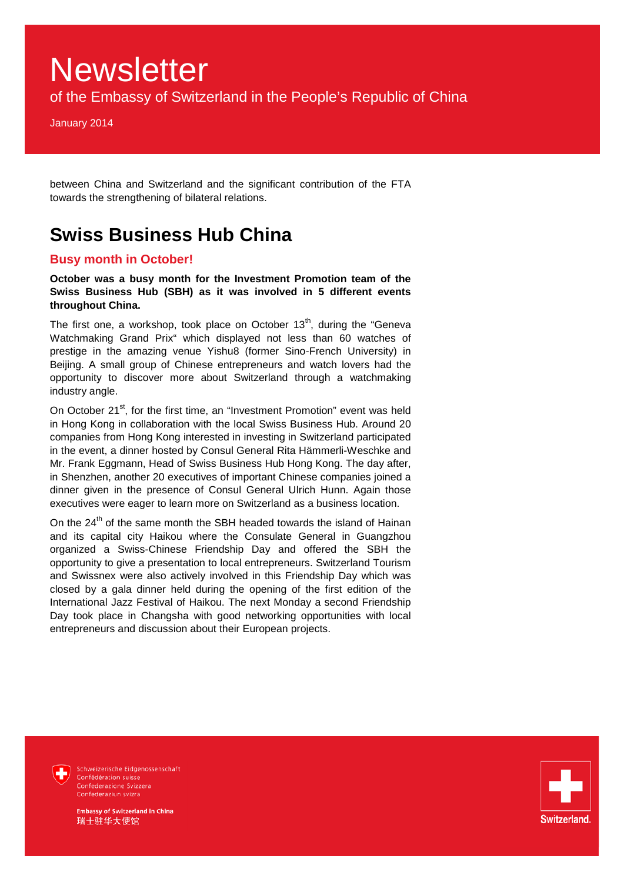of the Embassy of Switzerland in the People's Republic of China

January 2014

between China and Switzerland and the significant contribution of the FTA towards the strengthening of bilateral relations.

### **Swiss Business Hub China**

### **Busy month in October!**

**October was a busy month for the Investment Promotion team of the Swiss Business Hub (SBH) as it was involved in 5 different events throughout China.** 

The first one, a workshop, took place on October  $13<sup>th</sup>$ , during the "Geneva Watchmaking Grand Prix" which displayed not less than 60 watches of prestige in the amazing venue Yishu8 (former Sino-French University) in Beijing. A small group of Chinese entrepreneurs and watch lovers had the opportunity to discover more about Switzerland through a watchmaking industry angle.

On October 21<sup>st</sup>, for the first time, an "Investment Promotion" event was held in Hong Kong in collaboration with the local Swiss Business Hub. Around 20 companies from Hong Kong interested in investing in Switzerland participated in the event, a dinner hosted by Consul General Rita Hämmerli-Weschke and Mr. Frank Eggmann, Head of Swiss Business Hub Hong Kong. The day after, in Shenzhen, another 20 executives of important Chinese companies joined a dinner given in the presence of Consul General Ulrich Hunn. Again those executives were eager to learn more on Switzerland as a business location.

On the  $24<sup>th</sup>$  of the same month the SBH headed towards the island of Hainan and its capital city Haikou where the Consulate General in Guangzhou organized a Swiss-Chinese Friendship Day and offered the SBH the opportunity to give a presentation to local entrepreneurs. Switzerland Tourism and Swissnex were also actively involved in this Friendship Day which was closed by a gala dinner held during the opening of the first edition of the International Jazz Festival of Haikou. The next Monday a second Friendship Day took place in Changsha with good networking opportunities with local entrepreneurs and discussion about their European projects.



Schweizerische Eidgenossenschaft Confédération suisse<br>Confederazione Svizzera Confederaziun svizra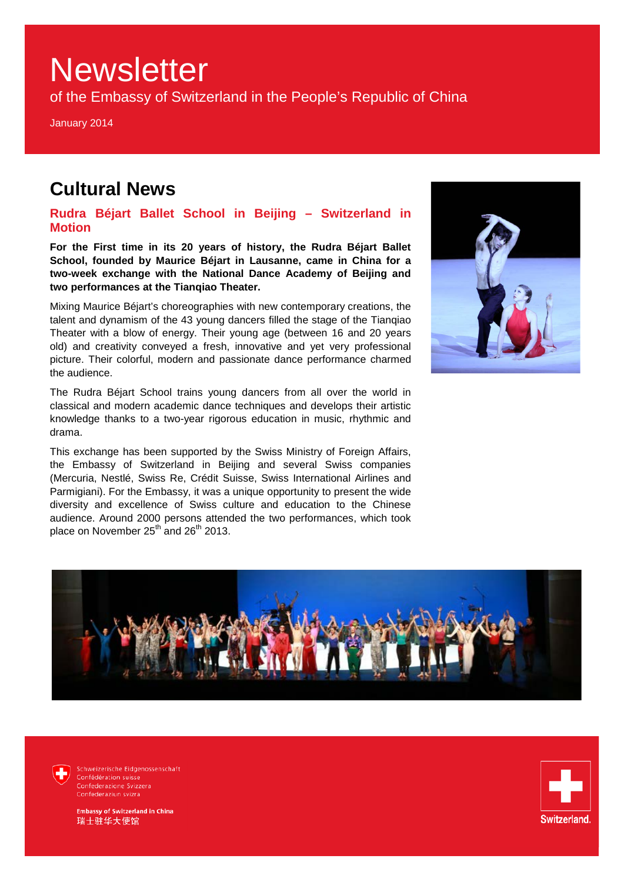of the Embassy of Switzerland in the People's Republic of China

January 2014

### **Cultural News**

**Rudra Béjart Ballet School in Beijing – Switzerland in Motion**

**For the First time in its 20 years of history, the Rudra Béjart Ballet School, founded by Maurice Béjart in Lausanne, came in China for a two-week exchange with the National Dance Academy of Beijing and two performances at the Tianqiao Theater.**

Mixing Maurice Béjart's choreographies with new contemporary creations, the talent and dynamism of the 43 young dancers filled the stage of the Tianqiao Theater with a blow of energy. Their young age (between 16 and 20 years old) and creativity conveyed a fresh, innovative and yet very professional picture. Their colorful, modern and passionate dance performance charmed the audience.

The Rudra Béjart School trains young dancers from all over the world in classical and modern academic dance techniques and develops their artistic knowledge thanks to a two-year rigorous education in music, rhythmic and drama.

This exchange has been supported by the Swiss Ministry of Foreign Affairs, the Embassy of Switzerland in Beijing and several Swiss companies (Mercuria, Nestlé, Swiss Re, Crédit Suisse, Swiss International Airlines and Parmigiani). For the Embassy, it was a unique opportunity to present the wide diversity and excellence of Swiss culture and education to the Chinese audience. Around 2000 persons attended the two performances, which took place on November 25<sup>th</sup> and 26<sup>th</sup> 2013.





Schweizerische Eidgenossenschaft Confédération suisse<br>Confederazione Svizzera Confederaziun svizra

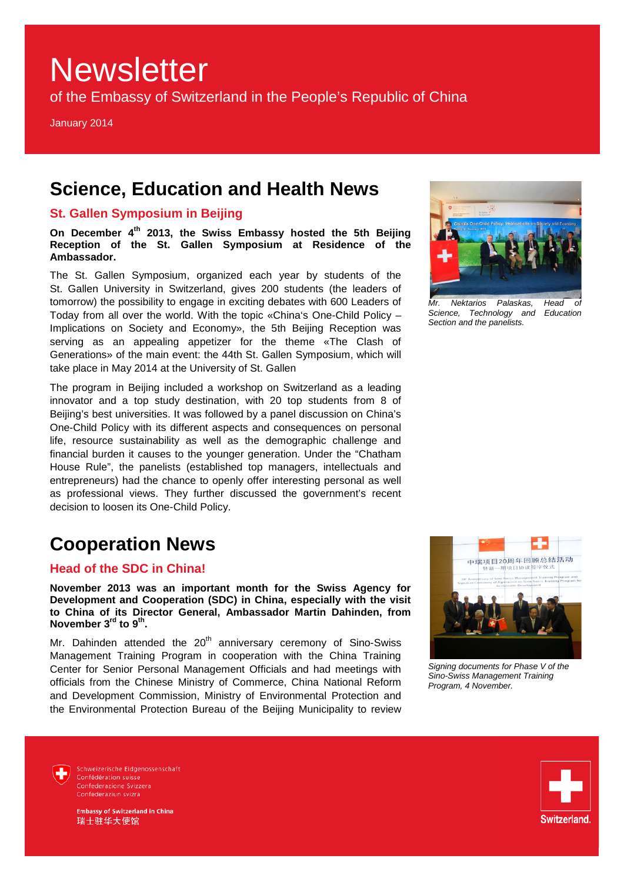of the Embassy of Switzerland in the People's Republic of China

January 2014

### **Science, Education and Health News**

### **St. Gallen Symposium in Beijing**

**On December 4th 2013, the Swiss Embassy hosted the 5th Beijing Reception of the St. Gallen Symposium at Residence of the Ambassador.**

The St. Gallen Symposium, organized each year by students of the St. Gallen University in Switzerland, gives 200 students (the leaders of tomorrow) the possibility to engage in exciting debates with 600 Leaders of Today from all over the world. With the topic «China's One-Child Policy – Implications on Society and Economy», the 5th Beijing Reception was serving as an appealing appetizer for the theme «The Clash of Generations» of the main event: the 44th St. Gallen Symposium, which will take place in May 2014 at the University of St. Gallen

The program in Beijing included a workshop on Switzerland as a leading innovator and a top study destination, with 20 top students from 8 of Beijing's best universities. It was followed by a panel discussion on China's One-Child Policy with its different aspects and consequences on personal life, resource sustainability as well as the demographic challenge and financial burden it causes to the younger generation. Under the "Chatham House Rule", the panelists (established top managers, intellectuals and entrepreneurs) had the chance to openly offer interesting personal as well as professional views. They further discussed the government's recent decision to loosen its One-Child Policy.

### **Cooperation News**

### **Head of the SDC in China!**

**November 2013 was an important month for the Swiss Agency for Development and Cooperation (SDC) in China, especially with the visit to China of its Director General, Ambassador Martin Dahinden, from November 3rd to 9th.**

Mr. Dahinden attended the  $20<sup>th</sup>$  anniversary ceremony of Sino-Swiss Management Training Program in cooperation with the China Training Center for Senior Personal Management Officials and had meetings with officials from the Chinese Ministry of Commerce, China National Reform and Development Commission, Ministry of Environmental Protection and the Environmental Protection Bureau of the Beijing Municipality to review



*Mr. Nektarios Palaskas, Head of* 

*Science, Technology and Section and the panelists.*

*Signing documents for Phase V of the Sino-Swiss Management Training Program, 4 November.*



Schweizerische Eidgenossenschaft Confédération suisse Confederazione Svizzera Confederaziun svizra

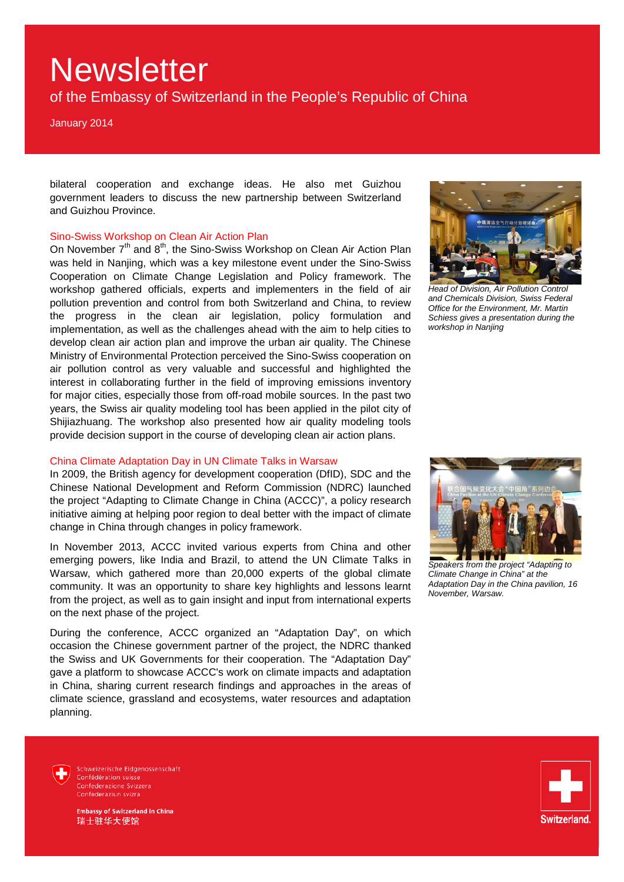of the Embassy of Switzerland in the People's Republic of China

January 2014

bilateral cooperation and exchange ideas. He also met Guizhou government leaders to discuss the new partnership between Switzerland and Guizhou Province.

#### Sino-Swiss Workshop on Clean Air Action Plan

On November 7<sup>th</sup> and 8<sup>th</sup>, the Sino-Swiss Workshop on Clean Air Action Plan was held in Nanjing, which was a key milestone event under the Sino-Swiss Cooperation on Climate Change Legislation and Policy framework. The workshop gathered officials, experts and implementers in the field of air pollution prevention and control from both Switzerland and China, to review the progress in the clean air legislation, policy formulation and implementation, as well as the challenges ahead with the aim to help cities to develop clean air action plan and improve the urban air quality. The Chinese Ministry of Environmental Protection perceived the Sino-Swiss cooperation on air pollution control as very valuable and successful and highlighted the interest in collaborating further in the field of improving emissions inventory for major cities, especially those from off-road mobile sources. In the past two years, the Swiss air quality modeling tool has been applied in the pilot city of Shijiazhuang. The workshop also presented how air quality modeling tools provide decision support in the course of developing clean air action plans.

#### China Climate Adaptation Day in UN Climate Talks in Warsaw

In 2009, the British agency for development cooperation (DfID), SDC and the Chinese National Development and Reform Commission (NDRC) launched the project "Adapting to Climate Change in China (ACCC)", a policy research initiative aiming at helping poor region to deal better with the impact of climate change in China through changes in policy framework.

In November 2013, ACCC invited various experts from China and other emerging powers, like India and Brazil, to attend the UN Climate Talks in Warsaw, which gathered more than 20,000 experts of the global climate community. It was an opportunity to share key highlights and lessons learnt from the project, as well as to gain insight and input from international experts on the next phase of the project.

During the conference, ACCC organized an "Adaptation Day", on which occasion the Chinese government partner of the project, the NDRC thanked the Swiss and UK Governments for their cooperation. The "Adaptation Day" gave a platform to showcase ACCC's work on climate impacts and adaptation in China, sharing current research findings and approaches in the areas of climate science, grassland and ecosystems, water resources and adaptation planning.



*Head of Division, Air Pollution Control and Chemicals Division, Swiss Federal Office for the Environment, Mr. Martin Schiess gives a presentation during the workshop in Nanjing*



*Speakers from the project "Adapting to Climate Change in China" at the Adaptation Day in the China pavilion, 16 November, Warsaw.*



Schweizerische Eidgenossenschaft Confédération suisse Confederazione Svizzera Confederaziun svizra